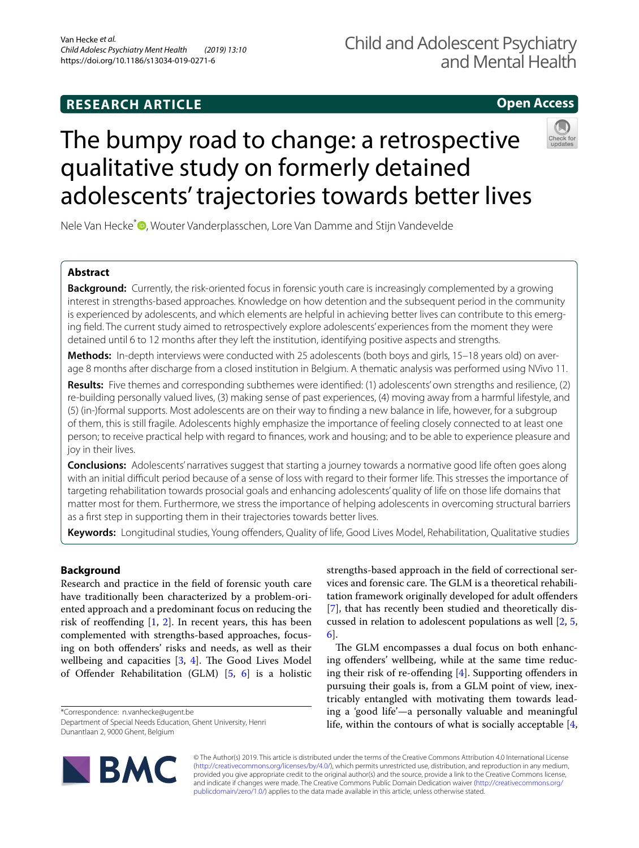# **RESEARCH ARTICLE**

# **Open Access**

# The bumpy road to change: a retrospective qualitative study on formerly detained adolescents' trajectories towards better lives



Nele Van Hecke<sup>[\\*](http://orcid.org/0000-0003-3029-5973)</sup><sup>D</sup>, Wouter Vanderplasschen, Lore Van Damme and Stijn Vandevelde

# **Abstract**

**Background:** Currently, the risk-oriented focus in forensic youth care is increasingly complemented by a growing interest in strengths-based approaches. Knowledge on how detention and the subsequent period in the community is experienced by adolescents, and which elements are helpful in achieving better lives can contribute to this emerging feld. The current study aimed to retrospectively explore adolescents' experiences from the moment they were detained until 6 to 12 months after they left the institution, identifying positive aspects and strengths.

**Methods:** In-depth interviews were conducted with 25 adolescents (both boys and girls, 15–18 years old) on average 8 months after discharge from a closed institution in Belgium. A thematic analysis was performed using NVivo 11.

**Results:** Five themes and corresponding subthemes were identifed: (1) adolescents' own strengths and resilience, (2) re-building personally valued lives, (3) making sense of past experiences, (4) moving away from a harmful lifestyle, and (5) (in-)formal supports. Most adolescents are on their way to fnding a new balance in life, however, for a subgroup of them, this is still fragile. Adolescents highly emphasize the importance of feeling closely connected to at least one person; to receive practical help with regard to fnances, work and housing; and to be able to experience pleasure and joy in their lives.

**Conclusions:** Adolescents' narratives suggest that starting a journey towards a normative good life often goes along with an initial difficult period because of a sense of loss with regard to their former life. This stresses the importance of targeting rehabilitation towards prosocial goals and enhancing adolescents' quality of life on those life domains that matter most for them. Furthermore, we stress the importance of helping adolescents in overcoming structural barriers as a frst step in supporting them in their trajectories towards better lives.

**Keywords:** Longitudinal studies, Young ofenders, Quality of life, Good Lives Model, Rehabilitation, Qualitative studies

# **Background**

Research and practice in the feld of forensic youth care have traditionally been characterized by a problem-oriented approach and a predominant focus on reducing the risk of reoffending  $[1, 2]$  $[1, 2]$  $[1, 2]$ . In recent years, this has been complemented with strengths-based approaches, focusing on both ofenders' risks and needs, as well as their wellbeing and capacities  $[3, 4]$  $[3, 4]$  $[3, 4]$  $[3, 4]$ . The Good Lives Model of Ofender Rehabilitation (GLM) [\[5](#page-14-1), [6](#page-14-2)] is a holistic

\*Correspondence: n.vanhecke@ugent.be

Department of Special Needs Education, Ghent University, Henri Dunantlaan 2, 9000 Ghent, Belgium

strengths-based approach in the feld of correctional services and forensic care. The GLM is a theoretical rehabilitation framework originally developed for adult ofenders [[7\]](#page-14-3), that has recently been studied and theoretically discussed in relation to adolescent populations as well [[2](#page-13-1), [5](#page-14-1), [6\]](#page-14-2).

The GLM encompasses a dual focus on both enhancing ofenders' wellbeing, while at the same time reduc-ing their risk of re-offending [[4\]](#page-14-0). Supporting offenders in pursuing their goals is, from a GLM point of view, inextricably entangled with motivating them towards leading a 'good life'—a personally valuable and meaningful life, within the contours of what is socially acceptable [\[4](#page-14-0),



© The Author(s) 2019. This article is distributed under the terms of the Creative Commons Attribution 4.0 International License [\(http://creativecommons.org/licenses/by/4.0/\)](http://creativecommons.org/licenses/by/4.0/), which permits unrestricted use, distribution, and reproduction in any medium, provided you give appropriate credit to the original author(s) and the source, provide a link to the Creative Commons license, and indicate if changes were made. The Creative Commons Public Domain Dedication waiver ([http://creativecommons.org/](http://creativecommons.org/publicdomain/zero/1.0/) [publicdomain/zero/1.0/](http://creativecommons.org/publicdomain/zero/1.0/)) applies to the data made available in this article, unless otherwise stated.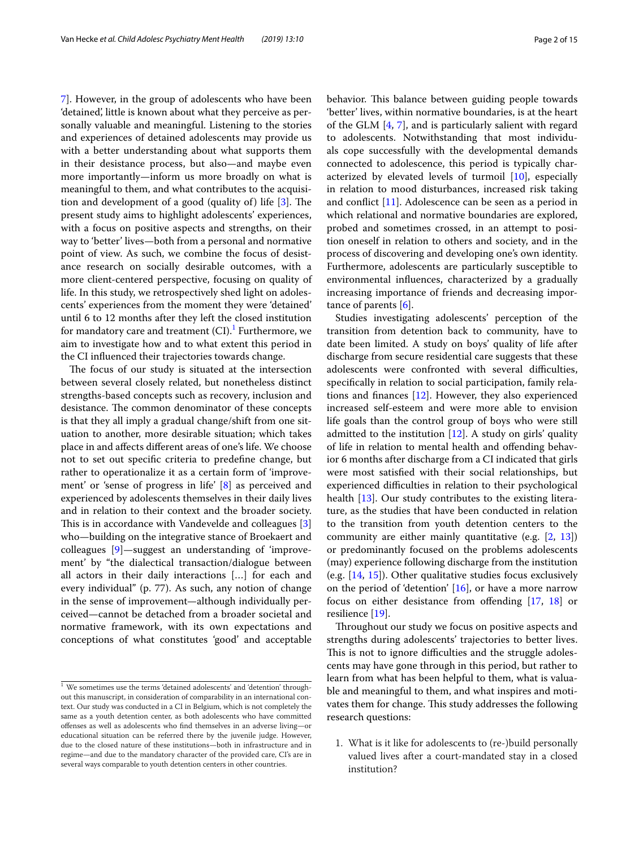[7\]](#page-14-3). However, in the group of adolescents who have been 'detained', little is known about what they perceive as personally valuable and meaningful. Listening to the stories and experiences of detained adolescents may provide us with a better understanding about what supports them in their desistance process, but also—and maybe even more importantly—inform us more broadly on what is meaningful to them, and what contributes to the acquisition and development of a good (quality of) life  $[3]$  $[3]$ . The present study aims to highlight adolescents' experiences, with a focus on positive aspects and strengths, on their way to 'better' lives—both from a personal and normative point of view. As such, we combine the focus of desistance research on socially desirable outcomes, with a more client-centered perspective, focusing on quality of life. In this study, we retrospectively shed light on adolescents' experiences from the moment they were 'detained' until 6 to 12 months after they left the closed institution for mandatory care and treatment (CI).<sup>[1](#page-1-0)</sup> Furthermore, we aim to investigate how and to what extent this period in the CI infuenced their trajectories towards change.

The focus of our study is situated at the intersection between several closely related, but nonetheless distinct strengths-based concepts such as recovery, inclusion and desistance. The common denominator of these concepts is that they all imply a gradual change/shift from one situation to another, more desirable situation; which takes place in and afects diferent areas of one's life. We choose not to set out specifc criteria to predefne change, but rather to operationalize it as a certain form of 'improvement' or 'sense of progress in life' [\[8\]](#page-14-4) as perceived and experienced by adolescents themselves in their daily lives and in relation to their context and the broader society. This is in accordance with Vandevelde and colleagues  $[3]$  $[3]$ who—building on the integrative stance of Broekaert and colleagues [[9\]](#page-14-5)—suggest an understanding of 'improvement' by "the dialectical transaction/dialogue between all actors in their daily interactions […] for each and every individual" (p. 77). As such, any notion of change in the sense of improvement—although individually perceived—cannot be detached from a broader societal and normative framework, with its own expectations and conceptions of what constitutes 'good' and acceptable behavior. This balance between guiding people towards 'better' lives, within normative boundaries, is at the heart of the GLM [\[4](#page-14-0), [7](#page-14-3)], and is particularly salient with regard to adolescents. Notwithstanding that most individuals cope successfully with the developmental demands connected to adolescence, this period is typically characterized by elevated levels of turmoil [[10\]](#page-14-6), especially in relation to mood disturbances, increased risk taking and confict [\[11](#page-14-7)]. Adolescence can be seen as a period in which relational and normative boundaries are explored, probed and sometimes crossed, in an attempt to position oneself in relation to others and society, and in the process of discovering and developing one's own identity. Furthermore, adolescents are particularly susceptible to environmental infuences, characterized by a gradually increasing importance of friends and decreasing importance of parents [\[6](#page-14-2)].

Studies investigating adolescents' perception of the transition from detention back to community, have to date been limited. A study on boys' quality of life after discharge from secure residential care suggests that these adolescents were confronted with several difficulties, specifcally in relation to social participation, family relations and fnances [\[12](#page-14-8)]. However, they also experienced increased self-esteem and were more able to envision life goals than the control group of boys who were still admitted to the institution  $[12]$ . A study on girls' quality of life in relation to mental health and ofending behavior 6 months after discharge from a CI indicated that girls were most satisfed with their social relationships, but experienced difficulties in relation to their psychological health [[13\]](#page-14-9). Our study contributes to the existing literature, as the studies that have been conducted in relation to the transition from youth detention centers to the community are either mainly quantitative (e.g. [[2,](#page-13-1) [13](#page-14-9)]) or predominantly focused on the problems adolescents (may) experience following discharge from the institution (e.g. [[14,](#page-14-10) [15\]](#page-14-11)). Other qualitative studies focus exclusively on the period of 'detention' [\[16](#page-14-12)], or have a more narrow focus on either desistance from offending [[17,](#page-14-13) [18\]](#page-14-14) or resilience [[19\]](#page-14-15).

Throughout our study we focus on positive aspects and strengths during adolescents' trajectories to better lives. This is not to ignore difficulties and the struggle adolescents may have gone through in this period, but rather to learn from what has been helpful to them, what is valuable and meaningful to them, and what inspires and motivates them for change. This study addresses the following research questions:

1. What is it like for adolescents to (re-)build personally valued lives after a court-mandated stay in a closed institution?

<span id="page-1-0"></span> $1$  We sometimes use the terms 'detained adolescents' and 'detention' throughout this manuscript, in consideration of comparability in an international context. Our study was conducted in a CI in Belgium, which is not completely the same as a youth detention center, as both adolescents who have committed ofenses as well as adolescents who fnd themselves in an adverse living—or educational situation can be referred there by the juvenile judge. However, due to the closed nature of these institutions—both in infrastructure and in regime—and due to the mandatory character of the provided care, CI's are in several ways comparable to youth detention centers in other countries.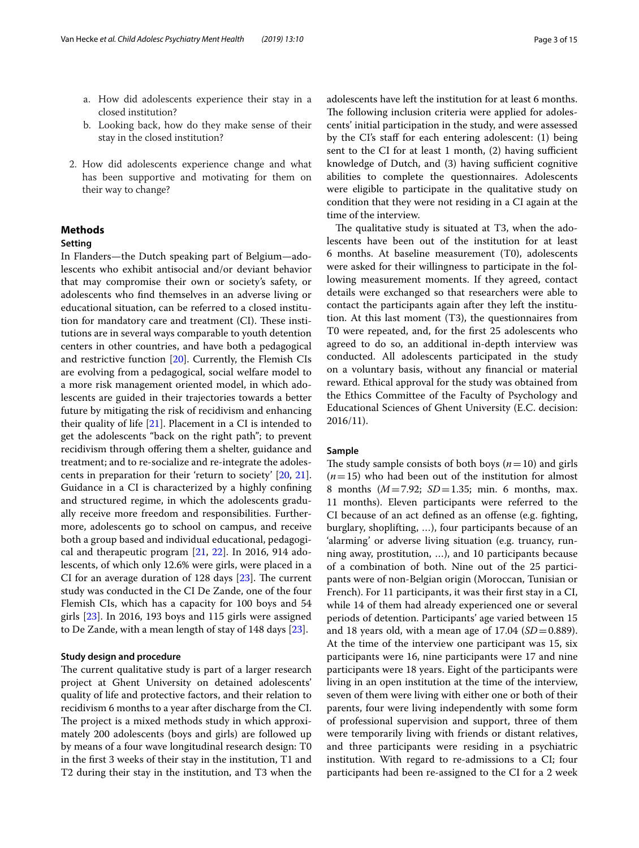- a. How did adolescents experience their stay in a closed institution?
- b. Looking back, how do they make sense of their stay in the closed institution?
- 2. How did adolescents experience change and what has been supportive and motivating for them on their way to change?

# **Methods**

# **Setting**

In Flanders—the Dutch speaking part of Belgium—adolescents who exhibit antisocial and/or deviant behavior that may compromise their own or society's safety, or adolescents who fnd themselves in an adverse living or educational situation, can be referred to a closed institution for mandatory care and treatment (CI). These institutions are in several ways comparable to youth detention centers in other countries, and have both a pedagogical and restrictive function [\[20](#page-14-16)]. Currently, the Flemish CIs are evolving from a pedagogical, social welfare model to a more risk management oriented model, in which adolescents are guided in their trajectories towards a better future by mitigating the risk of recidivism and enhancing their quality of life [\[21\]](#page-14-17). Placement in a CI is intended to get the adolescents "back on the right path"; to prevent recidivism through offering them a shelter, guidance and treatment; and to re-socialize and re-integrate the adolescents in preparation for their 'return to society' [\[20,](#page-14-16) [21](#page-14-17)]. Guidance in a CI is characterized by a highly confning and structured regime, in which the adolescents gradually receive more freedom and responsibilities. Furthermore, adolescents go to school on campus, and receive both a group based and individual educational, pedagogical and therapeutic program [\[21](#page-14-17), [22\]](#page-14-18). In 2016, 914 adolescents, of which only 12.6% were girls, were placed in a CI for an average duration of 128 days  $[23]$  $[23]$ . The current study was conducted in the CI De Zande, one of the four Flemish CIs, which has a capacity for 100 boys and 54 girls [[23](#page-14-19)]. In 2016, 193 boys and 115 girls were assigned to De Zande, with a mean length of stay of 148 days [\[23\]](#page-14-19).

#### **Study design and procedure**

The current qualitative study is part of a larger research project at Ghent University on detained adolescents' quality of life and protective factors, and their relation to recidivism 6 months to a year after discharge from the CI. The project is a mixed methods study in which approximately 200 adolescents (boys and girls) are followed up by means of a four wave longitudinal research design: T0 in the frst 3 weeks of their stay in the institution, T1 and T2 during their stay in the institution, and T3 when the adolescents have left the institution for at least 6 months. The following inclusion criteria were applied for adolescents' initial participation in the study, and were assessed by the CI's staff for each entering adolescent: (1) being sent to the CI for at least 1 month,  $(2)$  having sufficient knowledge of Dutch, and (3) having sufficient cognitive abilities to complete the questionnaires. Adolescents were eligible to participate in the qualitative study on condition that they were not residing in a CI again at the time of the interview.

The qualitative study is situated at  $T3$ , when the adolescents have been out of the institution for at least 6 months. At baseline measurement (T0), adolescents were asked for their willingness to participate in the following measurement moments. If they agreed, contact details were exchanged so that researchers were able to contact the participants again after they left the institution. At this last moment (T3), the questionnaires from T0 were repeated, and, for the frst 25 adolescents who agreed to do so, an additional in-depth interview was conducted. All adolescents participated in the study on a voluntary basis, without any fnancial or material reward. Ethical approval for the study was obtained from the Ethics Committee of the Faculty of Psychology and Educational Sciences of Ghent University (E.C. decision: 2016/11).

#### **Sample**

The study sample consists of both boys  $(n=10)$  and girls  $(n=15)$  who had been out of the institution for almost 8 months (*M*=7.92; *SD*=1.35; min. 6 months, max. 11 months). Eleven participants were referred to the CI because of an act defned as an ofense (e.g. fghting, burglary, shoplifting, …), four participants because of an 'alarming' or adverse living situation (e.g. truancy, running away, prostitution, …), and 10 participants because of a combination of both. Nine out of the 25 participants were of non-Belgian origin (Moroccan, Tunisian or French). For 11 participants, it was their frst stay in a CI, while 14 of them had already experienced one or several periods of detention. Participants' age varied between 15 and 18 years old, with a mean age of  $17.04$  ( $SD = 0.889$ ). At the time of the interview one participant was 15, six participants were 16, nine participants were 17 and nine participants were 18 years. Eight of the participants were living in an open institution at the time of the interview, seven of them were living with either one or both of their parents, four were living independently with some form of professional supervision and support, three of them were temporarily living with friends or distant relatives, and three participants were residing in a psychiatric institution. With regard to re-admissions to a CI; four participants had been re-assigned to the CI for a 2 week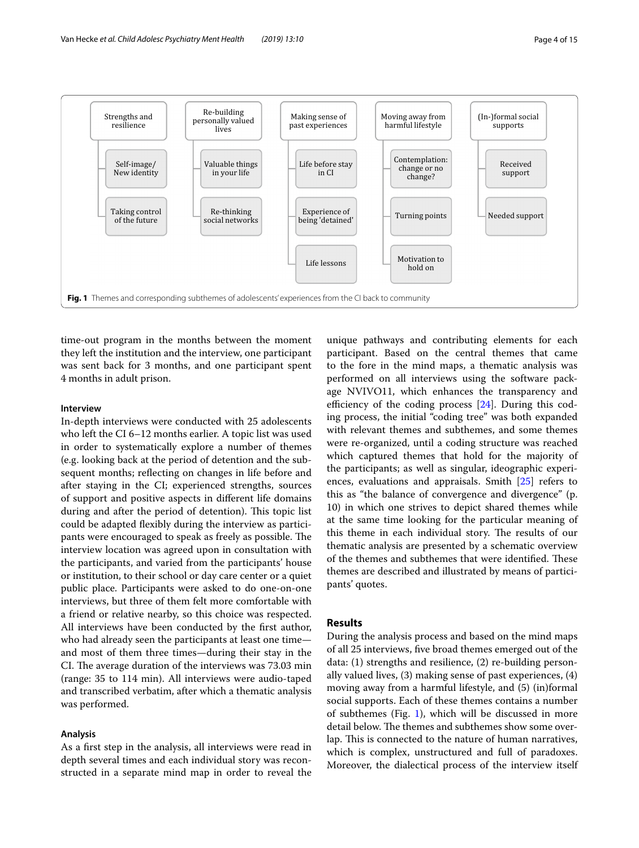

<span id="page-3-0"></span>time-out program in the months between the moment they left the institution and the interview, one participant was sent back for 3 months, and one participant spent 4 months in adult prison.

## **Interview**

In-depth interviews were conducted with 25 adolescents who left the CI 6–12 months earlier. A topic list was used in order to systematically explore a number of themes (e.g. looking back at the period of detention and the subsequent months; refecting on changes in life before and after staying in the CI; experienced strengths, sources of support and positive aspects in diferent life domains during and after the period of detention). This topic list could be adapted fexibly during the interview as participants were encouraged to speak as freely as possible. The interview location was agreed upon in consultation with the participants, and varied from the participants' house or institution, to their school or day care center or a quiet public place. Participants were asked to do one-on-one interviews, but three of them felt more comfortable with a friend or relative nearby, so this choice was respected. All interviews have been conducted by the frst author, who had already seen the participants at least one time and most of them three times—during their stay in the CI. The average duration of the interviews was 73.03 min (range: 35 to 114 min). All interviews were audio-taped and transcribed verbatim, after which a thematic analysis was performed.

#### **Analysis**

As a frst step in the analysis, all interviews were read in depth several times and each individual story was reconstructed in a separate mind map in order to reveal the

unique pathways and contributing elements for each participant. Based on the central themes that came to the fore in the mind maps, a thematic analysis was performed on all interviews using the software package NVIVO11, which enhances the transparency and efficiency of the coding process  $[24]$  $[24]$  $[24]$ . During this coding process, the initial "coding tree" was both expanded with relevant themes and subthemes, and some themes were re-organized, until a coding structure was reached which captured themes that hold for the majority of the participants; as well as singular, ideographic experiences, evaluations and appraisals. Smith [[25\]](#page-14-21) refers to this as "the balance of convergence and divergence" (p. 10) in which one strives to depict shared themes while at the same time looking for the particular meaning of this theme in each individual story. The results of our thematic analysis are presented by a schematic overview of the themes and subthemes that were identified. These themes are described and illustrated by means of participants' quotes.

# **Results**

During the analysis process and based on the mind maps of all 25 interviews, fve broad themes emerged out of the data: (1) strengths and resilience, (2) re-building personally valued lives, (3) making sense of past experiences, (4) moving away from a harmful lifestyle, and (5) (in)formal social supports. Each of these themes contains a number of subthemes (Fig. [1](#page-3-0)), which will be discussed in more detail below. The themes and subthemes show some overlap. This is connected to the nature of human narratives, which is complex, unstructured and full of paradoxes. Moreover, the dialectical process of the interview itself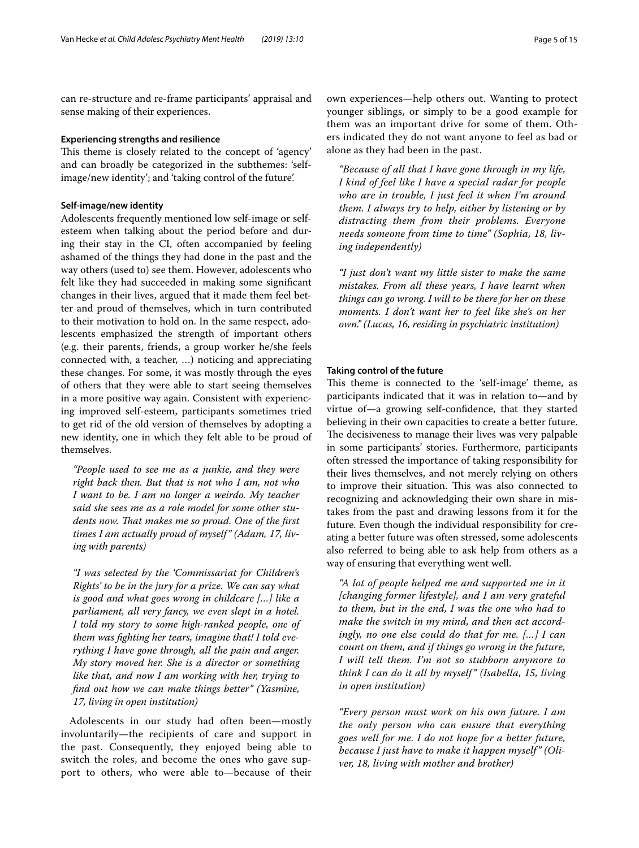can re-structure and re-frame participants' appraisal and sense making of their experiences.

#### **Experiencing strengths and resilience**

This theme is closely related to the concept of 'agency' and can broadly be categorized in the subthemes: 'selfimage/new identity'; and 'taking control of the future'.

#### **Self‑image/new identity**

Adolescents frequently mentioned low self-image or selfesteem when talking about the period before and during their stay in the CI, often accompanied by feeling ashamed of the things they had done in the past and the way others (used to) see them. However, adolescents who felt like they had succeeded in making some signifcant changes in their lives, argued that it made them feel better and proud of themselves, which in turn contributed to their motivation to hold on. In the same respect, adolescents emphasized the strength of important others (e.g. their parents, friends, a group worker he/she feels connected with, a teacher, …) noticing and appreciating these changes. For some, it was mostly through the eyes of others that they were able to start seeing themselves in a more positive way again. Consistent with experiencing improved self-esteem, participants sometimes tried to get rid of the old version of themselves by adopting a new identity, one in which they felt able to be proud of themselves.

*"People used to see me as a junkie, and they were right back then. But that is not who I am, not who I want to be. I am no longer a weirdo. My teacher said she sees me as a role model for some other stu*dents now. That makes me so proud. One of the first *times I am actually proud of myself" (Adam, 17, living with parents)*

*"I was selected by the 'Commissariat for Children's Rights' to be in the jury for a prize. We can say what is good and what goes wrong in childcare […] like a parliament, all very fancy, we even slept in a hotel. I told my story to some high-ranked people, one of them was fghting her tears, imagine that! I told everything I have gone through, all the pain and anger. My story moved her. She is a director or something like that, and now I am working with her, trying to fnd out how we can make things better" (Yasmine, 17, living in open institution)*

Adolescents in our study had often been—mostly involuntarily—the recipients of care and support in the past. Consequently, they enjoyed being able to switch the roles, and become the ones who gave support to others, who were able to—because of their

own experiences—help others out. Wanting to protect younger siblings, or simply to be a good example for them was an important drive for some of them. Others indicated they do not want anyone to feel as bad or alone as they had been in the past.

*"Because of all that I have gone through in my life, I kind of feel like I have a special radar for people who are in trouble, I just feel it when I'm around them. I always try to help, either by listening or by distracting them from their problems. Everyone needs someone from time to time" (Sophia, 18, living independently)*

*"I just don't want my little sister to make the same mistakes. From all these years, I have learnt when things can go wrong. I will to be there for her on these moments. I don't want her to feel like she's on her own." (Lucas, 16, residing in psychiatric institution)*

#### **Taking control of the future**

This theme is connected to the 'self-image' theme, as participants indicated that it was in relation to—and by virtue of—a growing self-confdence, that they started believing in their own capacities to create a better future. The decisiveness to manage their lives was very palpable in some participants' stories. Furthermore, participants often stressed the importance of taking responsibility for their lives themselves, and not merely relying on others to improve their situation. This was also connected to recognizing and acknowledging their own share in mistakes from the past and drawing lessons from it for the future. Even though the individual responsibility for creating a better future was often stressed, some adolescents also referred to being able to ask help from others as a way of ensuring that everything went well.

*"A lot of people helped me and supported me in it [changing former lifestyle], and I am very grateful to them, but in the end, I was the one who had to make the switch in my mind, and then act accordingly, no one else could do that for me. […] I can count on them, and if things go wrong in the future, I will tell them. I'm not so stubborn anymore to think I can do it all by myself " (Isabella, 15, living in open institution)*

*"Every person must work on his own future. I am the only person who can ensure that everything goes well for me. I do not hope for a better future, because I just have to make it happen myself " (Oliver, 18, living with mother and brother)*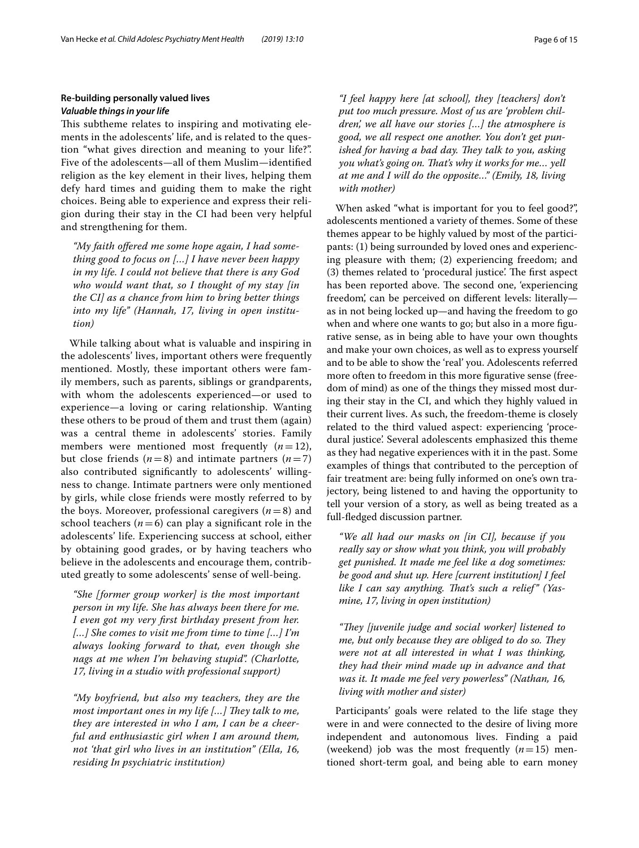# **Re‑building personally valued lives** *Valuable things in your life*

This subtheme relates to inspiring and motivating elements in the adolescents' life, and is related to the question "what gives direction and meaning to your life?". Five of the adolescents—all of them Muslim—identifed religion as the key element in their lives, helping them defy hard times and guiding them to make the right choices. Being able to experience and express their religion during their stay in the CI had been very helpful and strengthening for them.

*"My faith ofered me some hope again, I had something good to focus on […] I have never been happy in my life. I could not believe that there is any God who would want that, so I thought of my stay [in the CI] as a chance from him to bring better things into my life" (Hannah, 17, living in open institution)*

While talking about what is valuable and inspiring in the adolescents' lives, important others were frequently mentioned. Mostly, these important others were family members, such as parents, siblings or grandparents, with whom the adolescents experienced—or used to experience—a loving or caring relationship. Wanting these others to be proud of them and trust them (again) was a central theme in adolescents' stories. Family members were mentioned most frequently  $(n=12)$ , but close friends  $(n=8)$  and intimate partners  $(n=7)$ also contributed signifcantly to adolescents' willingness to change. Intimate partners were only mentioned by girls, while close friends were mostly referred to by the boys. Moreover, professional caregivers  $(n=8)$  and school teachers  $(n=6)$  can play a significant role in the adolescents' life. Experiencing success at school, either by obtaining good grades, or by having teachers who believe in the adolescents and encourage them, contributed greatly to some adolescents' sense of well-being.

*"She [former group worker] is the most important person in my life. She has always been there for me. I even got my very frst birthday present from her. […] She comes to visit me from time to time […] I'm always looking forward to that, even though she nags at me when I'm behaving stupid". (Charlotte, 17, living in a studio with professional support)*

*"My boyfriend, but also my teachers, they are the most important ones in my life [...] They talk to me, they are interested in who I am, I can be a cheerful and enthusiastic girl when I am around them, not 'that girl who lives in an institution" (Ella, 16, residing In psychiatric institution)*

*"I feel happy here [at school], they [teachers] don't put too much pressure. Most of us are 'problem children', we all have our stories […] the atmosphere is good, we all respect one another. You don't get punished for having a bad day. They talk to you, asking you what's going on. Tat's why it works for me… yell at me and I will do the opposite…" (Emily, 18, living with mother)*

When asked "what is important for you to feel good?", adolescents mentioned a variety of themes. Some of these themes appear to be highly valued by most of the participants: (1) being surrounded by loved ones and experiencing pleasure with them; (2) experiencing freedom; and (3) themes related to 'procedural justice'. The first aspect has been reported above. The second one, 'experiencing freedom', can be perceived on diferent levels: literally as in not being locked up—and having the freedom to go when and where one wants to go; but also in a more figurative sense, as in being able to have your own thoughts and make your own choices, as well as to express yourself and to be able to show the 'real' you. Adolescents referred more often to freedom in this more fgurative sense (freedom of mind) as one of the things they missed most during their stay in the CI, and which they highly valued in their current lives. As such, the freedom-theme is closely related to the third valued aspect: experiencing 'procedural justice'. Several adolescents emphasized this theme as they had negative experiences with it in the past. Some examples of things that contributed to the perception of fair treatment are: being fully informed on one's own trajectory, being listened to and having the opportunity to tell your version of a story, as well as being treated as a full-fedged discussion partner.

*"We all had our masks on [in CI], because if you really say or show what you think, you will probably get punished. It made me feel like a dog sometimes: be good and shut up. Here [current institution] I feel*  like I can say anything. That's such a relief" (Yas*mine, 17, living in open institution)*

*"Tey [juvenile judge and social worker] listened to me, but only because they are obliged to do so. They were not at all interested in what I was thinking, they had their mind made up in advance and that was it. It made me feel very powerless" (Nathan, 16, living with mother and sister)*

Participants' goals were related to the life stage they were in and were connected to the desire of living more independent and autonomous lives. Finding a paid (weekend) job was the most frequently  $(n=15)$  mentioned short-term goal, and being able to earn money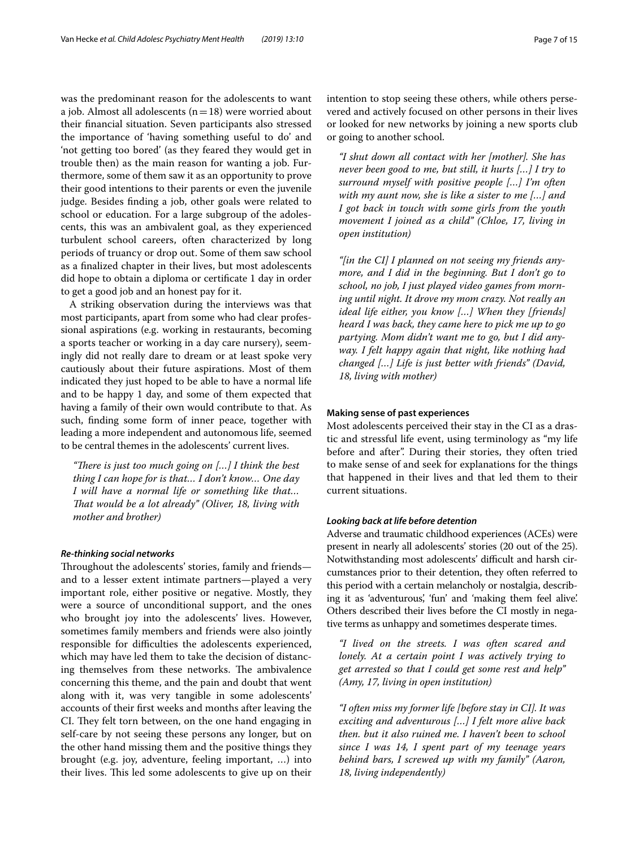was the predominant reason for the adolescents to want a job. Almost all adolescents  $(n=18)$  were worried about their fnancial situation. Seven participants also stressed the importance of 'having something useful to do' and 'not getting too bored' (as they feared they would get in trouble then) as the main reason for wanting a job. Furthermore, some of them saw it as an opportunity to prove their good intentions to their parents or even the juvenile judge. Besides fnding a job, other goals were related to school or education. For a large subgroup of the adolescents, this was an ambivalent goal, as they experienced turbulent school careers, often characterized by long periods of truancy or drop out. Some of them saw school as a fnalized chapter in their lives, but most adolescents did hope to obtain a diploma or certifcate 1 day in order to get a good job and an honest pay for it.

A striking observation during the interviews was that most participants, apart from some who had clear professional aspirations (e.g. working in restaurants, becoming a sports teacher or working in a day care nursery), seemingly did not really dare to dream or at least spoke very cautiously about their future aspirations. Most of them indicated they just hoped to be able to have a normal life and to be happy 1 day, and some of them expected that having a family of their own would contribute to that. As such, fnding some form of inner peace, together with leading a more independent and autonomous life, seemed to be central themes in the adolescents' current lives.

*"There is just too much going on [...] I think the best thing I can hope for is that… I don't know… One day I will have a normal life or something like that… That would be a lot already" (Oliver, 18, living with mother and brother)*

### *Re‑thinking social networks*

Throughout the adolescents' stories, family and friendsand to a lesser extent intimate partners—played a very important role, either positive or negative. Mostly, they were a source of unconditional support, and the ones who brought joy into the adolescents' lives. However, sometimes family members and friends were also jointly responsible for difficulties the adolescents experienced, which may have led them to take the decision of distancing themselves from these networks. The ambivalence concerning this theme, and the pain and doubt that went along with it, was very tangible in some adolescents' accounts of their frst weeks and months after leaving the CI. They felt torn between, on the one hand engaging in self-care by not seeing these persons any longer, but on the other hand missing them and the positive things they brought (e.g. joy, adventure, feeling important, …) into their lives. This led some adolescents to give up on their intention to stop seeing these others, while others persevered and actively focused on other persons in their lives or looked for new networks by joining a new sports club or going to another school.

*"I shut down all contact with her [mother]. She has never been good to me, but still, it hurts […] I try to surround myself with positive people […] I'm often with my aunt now, she is like a sister to me […] and I got back in touch with some girls from the youth movement I joined as a child" (Chloe, 17, living in open institution)*

*"[in the CI] I planned on not seeing my friends anymore, and I did in the beginning. But I don't go to school, no job, I just played video games from morning until night. It drove my mom crazy. Not really an ideal life either, you know […] When they [friends] heard I was back, they came here to pick me up to go partying. Mom didn't want me to go, but I did anyway. I felt happy again that night, like nothing had changed […] Life is just better with friends" (David, 18, living with mother)*

#### **Making sense of past experiences**

Most adolescents perceived their stay in the CI as a drastic and stressful life event, using terminology as "my life before and after". During their stories, they often tried to make sense of and seek for explanations for the things that happened in their lives and that led them to their current situations.

# *Looking back at life before detention*

Adverse and traumatic childhood experiences (ACEs) were present in nearly all adolescents' stories (20 out of the 25). Notwithstanding most adolescents' difficult and harsh circumstances prior to their detention, they often referred to this period with a certain melancholy or nostalgia, describing it as 'adventurous', 'fun' and 'making them feel alive'. Others described their lives before the CI mostly in negative terms as unhappy and sometimes desperate times.

*"I lived on the streets. I was often scared and lonely. At a certain point I was actively trying to get arrested so that I could get some rest and help" (Amy, 17, living in open institution)*

*"I often miss my former life [before stay in CI]. It was exciting and adventurous […] I felt more alive back then. but it also ruined me. I haven't been to school since I was 14, I spent part of my teenage years behind bars, I screwed up with my family" (Aaron, 18, living independently)*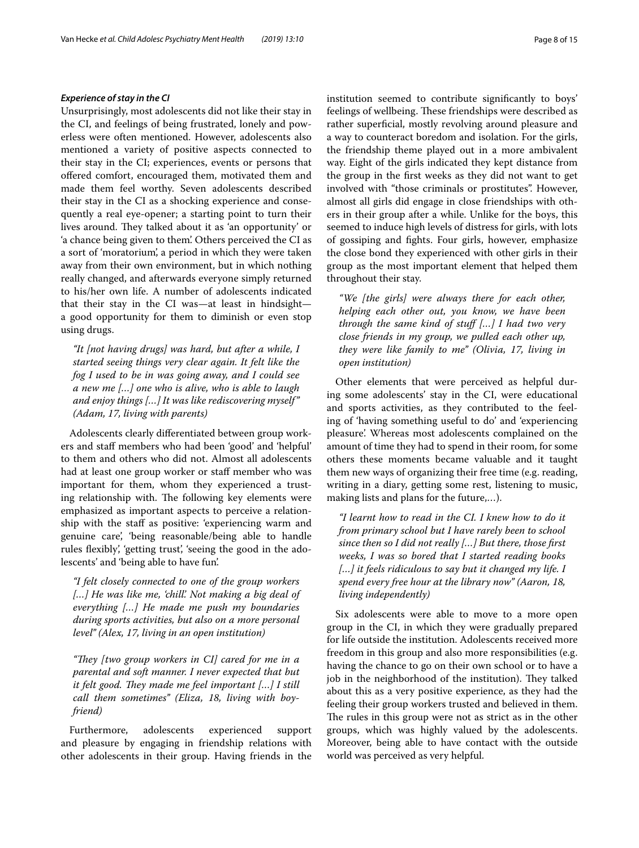#### *Experience of stay in the CI*

Unsurprisingly, most adolescents did not like their stay in the CI, and feelings of being frustrated, lonely and powerless were often mentioned. However, adolescents also mentioned a variety of positive aspects connected to their stay in the CI; experiences, events or persons that offered comfort, encouraged them, motivated them and made them feel worthy. Seven adolescents described their stay in the CI as a shocking experience and consequently a real eye-opener; a starting point to turn their lives around. They talked about it as 'an opportunity' or 'a chance being given to them'. Others perceived the CI as a sort of 'moratorium', a period in which they were taken away from their own environment, but in which nothing really changed, and afterwards everyone simply returned to his/her own life. A number of adolescents indicated that their stay in the CI was—at least in hindsight a good opportunity for them to diminish or even stop using drugs.

*"It [not having drugs] was hard, but after a while, I started seeing things very clear again. It felt like the fog I used to be in was going away, and I could see a new me […] one who is alive, who is able to laugh and enjoy things […] It was like rediscovering myself" (Adam, 17, living with parents)*

Adolescents clearly diferentiated between group workers and staf members who had been 'good' and 'helpful' to them and others who did not. Almost all adolescents had at least one group worker or staff member who was important for them, whom they experienced a trusting relationship with. The following key elements were emphasized as important aspects to perceive a relationship with the staff as positive: 'experiencing warm and genuine care', 'being reasonable/being able to handle rules flexibly', 'getting trust', 'seeing the good in the adolescents' and 'being able to have fun'.

*"I felt closely connected to one of the group workers […] He was like me, 'chill'. Not making a big deal of everything […] He made me push my boundaries during sports activities, but also on a more personal level" (Alex, 17, living in an open institution)*

"They [two group workers in CI] cared for me in a *parental and soft manner. I never expected that but it felt good. They made me feel important [...] I still call them sometimes" (Eliza, 18, living with boyfriend)*

Furthermore, adolescents experienced support and pleasure by engaging in friendship relations with other adolescents in their group. Having friends in the institution seemed to contribute signifcantly to boys' feelings of wellbeing. These friendships were described as rather superficial, mostly revolving around pleasure and a way to counteract boredom and isolation. For the girls, the friendship theme played out in a more ambivalent way. Eight of the girls indicated they kept distance from the group in the frst weeks as they did not want to get involved with "those criminals or prostitutes". However, almost all girls did engage in close friendships with others in their group after a while. Unlike for the boys, this seemed to induce high levels of distress for girls, with lots of gossiping and fghts. Four girls, however, emphasize the close bond they experienced with other girls in their group as the most important element that helped them throughout their stay.

*"We [the girls] were always there for each other, helping each other out, you know, we have been through the same kind of stuf […] I had two very close friends in my group, we pulled each other up, they were like family to me" (Olivia, 17, living in open institution)*

Other elements that were perceived as helpful during some adolescents' stay in the CI, were educational and sports activities, as they contributed to the feeling of 'having something useful to do' and 'experiencing pleasure'. Whereas most adolescents complained on the amount of time they had to spend in their room, for some others these moments became valuable and it taught them new ways of organizing their free time (e.g. reading, writing in a diary, getting some rest, listening to music, making lists and plans for the future,…).

*"I learnt how to read in the CI. I knew how to do it from primary school but I have rarely been to school since then so I did not really […] But there, those frst weeks, I was so bored that I started reading books […] it feels ridiculous to say but it changed my life. I spend every free hour at the library now" (Aaron, 18, living independently)*

Six adolescents were able to move to a more open group in the CI, in which they were gradually prepared for life outside the institution. Adolescents received more freedom in this group and also more responsibilities (e.g. having the chance to go on their own school or to have a job in the neighborhood of the institution). They talked about this as a very positive experience, as they had the feeling their group workers trusted and believed in them. The rules in this group were not as strict as in the other groups, which was highly valued by the adolescents. Moreover, being able to have contact with the outside world was perceived as very helpful.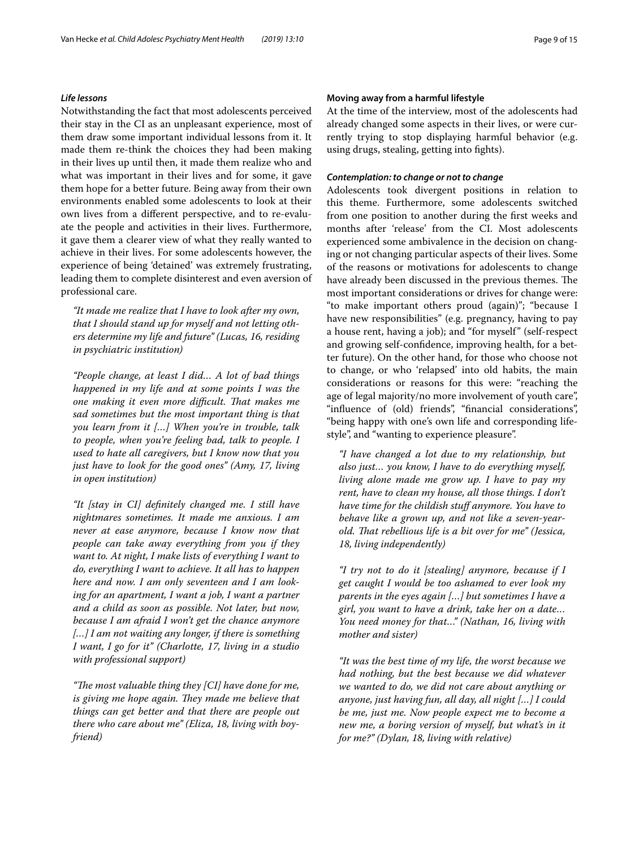### *Life lessons*

Notwithstanding the fact that most adolescents perceived their stay in the CI as an unpleasant experience, most of them draw some important individual lessons from it. It made them re-think the choices they had been making in their lives up until then, it made them realize who and what was important in their lives and for some, it gave them hope for a better future. Being away from their own environments enabled some adolescents to look at their own lives from a diferent perspective, and to re-evaluate the people and activities in their lives. Furthermore, it gave them a clearer view of what they really wanted to achieve in their lives. For some adolescents however, the experience of being 'detained' was extremely frustrating, leading them to complete disinterest and even aversion of professional care.

*"It made me realize that I have to look after my own, that I should stand up for myself and not letting others determine my life and future" (Lucas, 16, residing in psychiatric institution)*

*"People change, at least I did… A lot of bad things happened in my life and at some points I was the one making it even more difcult. Tat makes me sad sometimes but the most important thing is that you learn from it […] When you're in trouble, talk to people, when you're feeling bad, talk to people. I used to hate all caregivers, but I know now that you just have to look for the good ones" (Amy, 17, living in open institution)*

*"It [stay in CI] defnitely changed me. I still have nightmares sometimes. It made me anxious. I am never at ease anymore, because I know now that people can take away everything from you if they want to. At night, I make lists of everything I want to do, everything I want to achieve. It all has to happen here and now. I am only seventeen and I am looking for an apartment, I want a job, I want a partner and a child as soon as possible. Not later, but now, because I am afraid I won't get the chance anymore […] I am not waiting any longer, if there is something I want, I go for it" (Charlotte, 17, living in a studio with professional support)*

*"The most valuable thing they [CI] have done for me, is giving me hope again. They made me believe that things can get better and that there are people out there who care about me" (Eliza, 18, living with boyfriend)*

At the time of the interview, most of the adolescents had already changed some aspects in their lives, or were currently trying to stop displaying harmful behavior (e.g. using drugs, stealing, getting into fghts).

#### *Contemplation: to change or not to change*

Adolescents took divergent positions in relation to this theme. Furthermore, some adolescents switched from one position to another during the frst weeks and months after 'release' from the CI. Most adolescents experienced some ambivalence in the decision on changing or not changing particular aspects of their lives. Some of the reasons or motivations for adolescents to change have already been discussed in the previous themes. The most important considerations or drives for change were: "to make important others proud (again)"; "because I have new responsibilities" (e.g. pregnancy, having to pay a house rent, having a job); and "for myself" (self-respect and growing self-confdence, improving health, for a better future). On the other hand, for those who choose not to change, or who 'relapsed' into old habits, the main considerations or reasons for this were: "reaching the age of legal majority/no more involvement of youth care", "infuence of (old) friends", "fnancial considerations", "being happy with one's own life and corresponding lifestyle", and "wanting to experience pleasure".

*"I have changed a lot due to my relationship, but also just… you know, I have to do everything myself, living alone made me grow up. I have to pay my rent, have to clean my house, all those things. I don't have time for the childish stuf anymore. You have to behave like a grown up, and not like a seven-yearold. Tat rebellious life is a bit over for me" (Jessica, 18, living independently)*

*"I try not to do it [stealing] anymore, because if I get caught I would be too ashamed to ever look my parents in the eyes again […] but sometimes I have a girl, you want to have a drink, take her on a date… You need money for that…" (Nathan, 16, living with mother and sister)*

*"It was the best time of my life, the worst because we had nothing, but the best because we did whatever we wanted to do, we did not care about anything or anyone, just having fun, all day, all night […] I could be me, just me. Now people expect me to become a new me, a boring version of myself, but what's in it for me?" (Dylan, 18, living with relative)*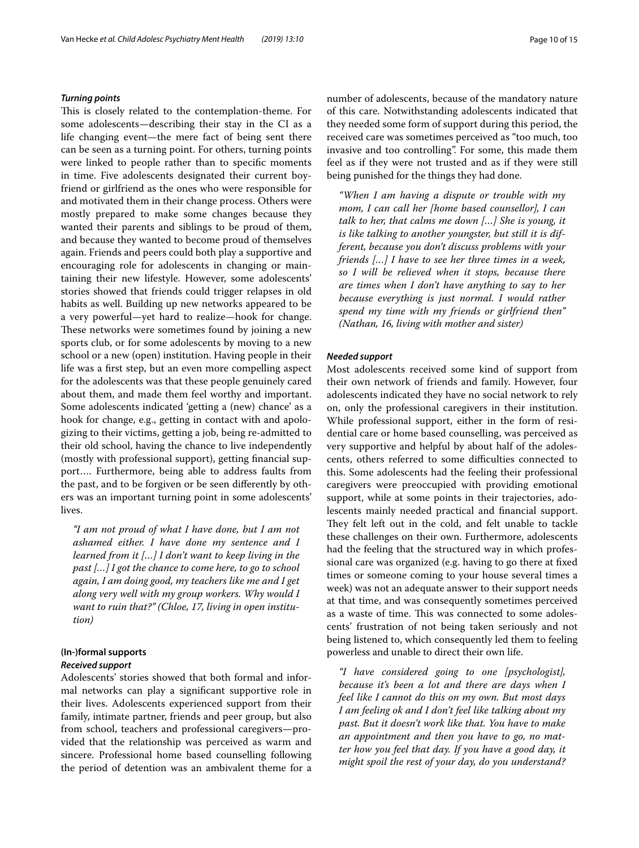#### *Turning points*

This is closely related to the contemplation-theme. For some adolescents—describing their stay in the CI as a life changing event—the mere fact of being sent there can be seen as a turning point. For others, turning points were linked to people rather than to specifc moments in time. Five adolescents designated their current boyfriend or girlfriend as the ones who were responsible for and motivated them in their change process. Others were mostly prepared to make some changes because they wanted their parents and siblings to be proud of them, and because they wanted to become proud of themselves again. Friends and peers could both play a supportive and encouraging role for adolescents in changing or maintaining their new lifestyle. However, some adolescents' stories showed that friends could trigger relapses in old habits as well. Building up new networks appeared to be a very powerful—yet hard to realize—hook for change. These networks were sometimes found by joining a new sports club, or for some adolescents by moving to a new school or a new (open) institution. Having people in their life was a frst step, but an even more compelling aspect for the adolescents was that these people genuinely cared about them, and made them feel worthy and important. Some adolescents indicated 'getting a (new) chance' as a hook for change, e.g., getting in contact with and apologizing to their victims, getting a job, being re-admitted to their old school, having the chance to live independently (mostly with professional support), getting fnancial support…. Furthermore, being able to address faults from the past, and to be forgiven or be seen diferently by others was an important turning point in some adolescents' lives.

*"I am not proud of what I have done, but I am not ashamed either. I have done my sentence and I learned from it […] I don't want to keep living in the past […] I got the chance to come here, to go to school again, I am doing good, my teachers like me and I get along very well with my group workers. Why would I want to ruin that?" (Chloe, 17, living in open institution)*

### **(In‑)formal supports** *Received support*

Adolescents' stories showed that both formal and informal networks can play a signifcant supportive role in their lives. Adolescents experienced support from their family, intimate partner, friends and peer group, but also from school, teachers and professional caregivers—provided that the relationship was perceived as warm and sincere. Professional home based counselling following the period of detention was an ambivalent theme for a number of adolescents, because of the mandatory nature of this care. Notwithstanding adolescents indicated that they needed some form of support during this period, the received care was sometimes perceived as "too much, too invasive and too controlling". For some, this made them feel as if they were not trusted and as if they were still being punished for the things they had done.

*"When I am having a dispute or trouble with my mom, I can call her [home based counsellor], I can talk to her, that calms me down […] She is young, it is like talking to another youngster, but still it is different, because you don't discuss problems with your friends […] I have to see her three times in a week, so I will be relieved when it stops, because there are times when I don't have anything to say to her because everything is just normal. I would rather spend my time with my friends or girlfriend then" (Nathan, 16, living with mother and sister)*

#### *Needed support*

Most adolescents received some kind of support from their own network of friends and family. However, four adolescents indicated they have no social network to rely on, only the professional caregivers in their institution. While professional support, either in the form of residential care or home based counselling, was perceived as very supportive and helpful by about half of the adolescents, others referred to some difficulties connected to this. Some adolescents had the feeling their professional caregivers were preoccupied with providing emotional support, while at some points in their trajectories, adolescents mainly needed practical and fnancial support. They felt left out in the cold, and felt unable to tackle these challenges on their own. Furthermore, adolescents had the feeling that the structured way in which professional care was organized (e.g. having to go there at fxed times or someone coming to your house several times a week) was not an adequate answer to their support needs at that time, and was consequently sometimes perceived as a waste of time. This was connected to some adolescents' frustration of not being taken seriously and not being listened to, which consequently led them to feeling powerless and unable to direct their own life.

*"I have considered going to one [psychologist], because it's been a lot and there are days when I feel like I cannot do this on my own. But most days I am feeling ok and I don't feel like talking about my past. But it doesn't work like that. You have to make an appointment and then you have to go, no matter how you feel that day. If you have a good day, it might spoil the rest of your day, do you understand?*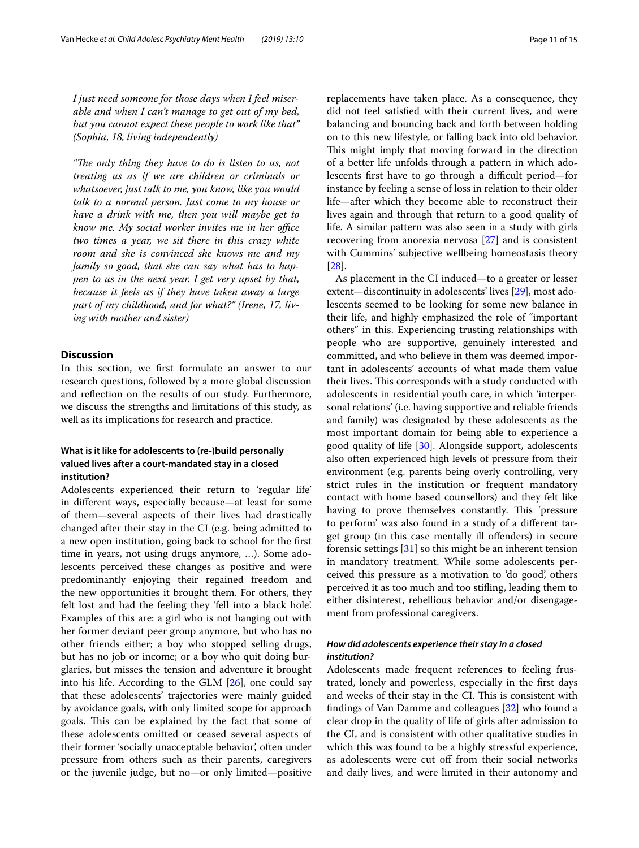*I just need someone for those days when I feel miserable and when I can't manage to get out of my bed, but you cannot expect these people to work like that" (Sophia, 18, living independently)*

*"Te only thing they have to do is listen to us, not treating us as if we are children or criminals or whatsoever, just talk to me, you know, like you would talk to a normal person. Just come to my house or have a drink with me, then you will maybe get to know me. My social worker invites me in her office two times a year, we sit there in this crazy white room and she is convinced she knows me and my family so good, that she can say what has to happen to us in the next year. I get very upset by that, because it feels as if they have taken away a large part of my childhood, and for what?" (Irene, 17, living with mother and sister)*

# **Discussion**

In this section, we frst formulate an answer to our research questions, followed by a more global discussion and refection on the results of our study. Furthermore, we discuss the strengths and limitations of this study, as well as its implications for research and practice.

# **What is it like for adolescents to (re‑)build personally valued lives after a court‑mandated stay in a closed institution?**

Adolescents experienced their return to 'regular life' in diferent ways, especially because—at least for some of them—several aspects of their lives had drastically changed after their stay in the CI (e.g. being admitted to a new open institution, going back to school for the frst time in years, not using drugs anymore, …). Some adolescents perceived these changes as positive and were predominantly enjoying their regained freedom and the new opportunities it brought them. For others, they felt lost and had the feeling they 'fell into a black hole'. Examples of this are: a girl who is not hanging out with her former deviant peer group anymore, but who has no other friends either; a boy who stopped selling drugs, but has no job or income; or a boy who quit doing burglaries, but misses the tension and adventure it brought into his life. According to the GLM [\[26\]](#page-14-22), one could say that these adolescents' trajectories were mainly guided by avoidance goals, with only limited scope for approach goals. This can be explained by the fact that some of these adolescents omitted or ceased several aspects of their former 'socially unacceptable behavior', often under pressure from others such as their parents, caregivers or the juvenile judge, but no—or only limited—positive replacements have taken place. As a consequence, they did not feel satisfed with their current lives, and were balancing and bouncing back and forth between holding on to this new lifestyle, or falling back into old behavior. This might imply that moving forward in the direction of a better life unfolds through a pattern in which adolescents first have to go through a difficult period-for instance by feeling a sense of loss in relation to their older life—after which they become able to reconstruct their lives again and through that return to a good quality of life. A similar pattern was also seen in a study with girls recovering from anorexia nervosa [\[27\]](#page-14-23) and is consistent with Cummins' subjective wellbeing homeostasis theory [[28\]](#page-14-24).

As placement in the CI induced—to a greater or lesser extent—discontinuity in adolescents' lives [[29\]](#page-14-25), most adolescents seemed to be looking for some new balance in their life, and highly emphasized the role of "important others" in this. Experiencing trusting relationships with people who are supportive, genuinely interested and committed, and who believe in them was deemed important in adolescents' accounts of what made them value their lives. This corresponds with a study conducted with adolescents in residential youth care, in which 'interpersonal relations' (i.e. having supportive and reliable friends and family) was designated by these adolescents as the most important domain for being able to experience a good quality of life [\[30](#page-14-26)]. Alongside support, adolescents also often experienced high levels of pressure from their environment (e.g. parents being overly controlling, very strict rules in the institution or frequent mandatory contact with home based counsellors) and they felt like having to prove themselves constantly. This 'pressure to perform' was also found in a study of a diferent target group (in this case mentally ill ofenders) in secure forensic settings [[31](#page-14-27)] so this might be an inherent tension in mandatory treatment. While some adolescents perceived this pressure as a motivation to 'do good', others perceived it as too much and too stifing, leading them to either disinterest, rebellious behavior and/or disengagement from professional caregivers.

# *How did adolescents experience their stay in a closed institution?*

Adolescents made frequent references to feeling frustrated, lonely and powerless, especially in the frst days and weeks of their stay in the CI. This is consistent with fndings of Van Damme and colleagues [\[32](#page-14-28)] who found a clear drop in the quality of life of girls after admission to the CI, and is consistent with other qualitative studies in which this was found to be a highly stressful experience, as adolescents were cut off from their social networks and daily lives, and were limited in their autonomy and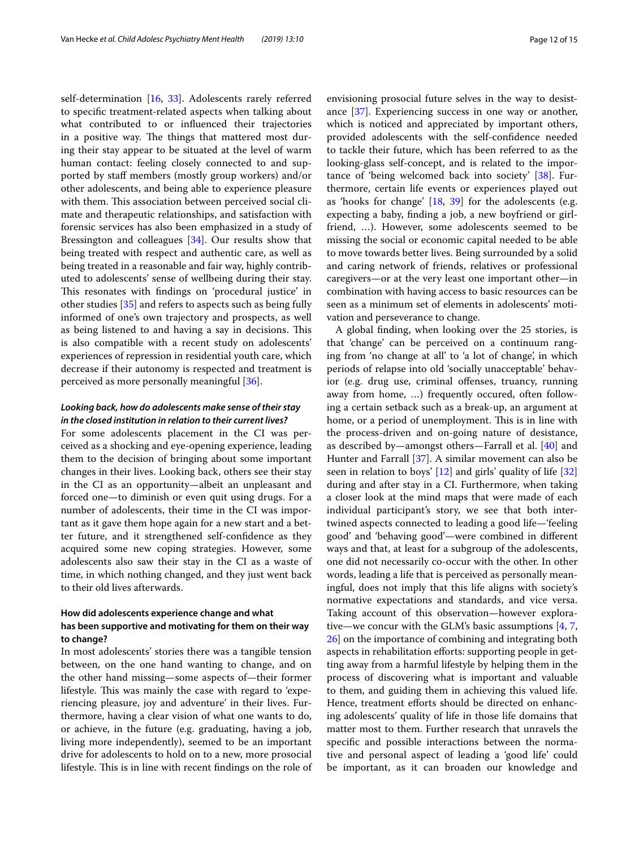self-determination [\[16,](#page-14-12) [33](#page-14-29)]. Adolescents rarely referred to specifc treatment-related aspects when talking about what contributed to or infuenced their trajectories in a positive way. The things that mattered most during their stay appear to be situated at the level of warm human contact: feeling closely connected to and supported by staf members (mostly group workers) and/or other adolescents, and being able to experience pleasure with them. This association between perceived social climate and therapeutic relationships, and satisfaction with forensic services has also been emphasized in a study of Bressington and colleagues [[34\]](#page-14-30). Our results show that being treated with respect and authentic care, as well as being treated in a reasonable and fair way, highly contributed to adolescents' sense of wellbeing during their stay. This resonates with findings on 'procedural justice' in other studies [[35\]](#page-14-31) and refers to aspects such as being fully informed of one's own trajectory and prospects, as well as being listened to and having a say in decisions. This is also compatible with a recent study on adolescents' experiences of repression in residential youth care, which decrease if their autonomy is respected and treatment is perceived as more personally meaningful [\[36](#page-14-32)].

# *Looking back, how do adolescents make sense of their stay in the closed institution in relation to their current lives?*

For some adolescents placement in the CI was perceived as a shocking and eye-opening experience, leading them to the decision of bringing about some important changes in their lives. Looking back, others see their stay in the CI as an opportunity—albeit an unpleasant and forced one—to diminish or even quit using drugs. For a number of adolescents, their time in the CI was important as it gave them hope again for a new start and a better future, and it strengthened self-confdence as they acquired some new coping strategies. However, some adolescents also saw their stay in the CI as a waste of time, in which nothing changed, and they just went back to their old lives afterwards.

# **How did adolescents experience change and what has been supportive and motivating for them on their way to change?**

In most adolescents' stories there was a tangible tension between, on the one hand wanting to change, and on the other hand missing—some aspects of—their former lifestyle. This was mainly the case with regard to 'experiencing pleasure, joy and adventure' in their lives. Furthermore, having a clear vision of what one wants to do, or achieve, in the future (e.g. graduating, having a job, living more independently), seemed to be an important drive for adolescents to hold on to a new, more prosocial lifestyle. This is in line with recent findings on the role of envisioning prosocial future selves in the way to desistance [[37](#page-14-33)]. Experiencing success in one way or another, which is noticed and appreciated by important others, provided adolescents with the self-confdence needed to tackle their future, which has been referred to as the looking-glass self-concept, and is related to the importance of 'being welcomed back into society' [[38](#page-14-34)]. Furthermore, certain life events or experiences played out as 'hooks for change' [[18,](#page-14-14) [39](#page-14-35)] for the adolescents (e.g. expecting a baby, fnding a job, a new boyfriend or girlfriend, …). However, some adolescents seemed to be missing the social or economic capital needed to be able to move towards better lives. Being surrounded by a solid and caring network of friends, relatives or professional caregivers—or at the very least one important other—in combination with having access to basic resources can be seen as a minimum set of elements in adolescents' motivation and perseverance to change.

A global fnding, when looking over the 25 stories, is that 'change' can be perceived on a continuum ranging from 'no change at all' to 'a lot of change', in which periods of relapse into old 'socially unacceptable' behavior (e.g. drug use, criminal offenses, truancy, running away from home, …) frequently occured, often following a certain setback such as a break-up, an argument at home, or a period of unemployment. This is in line with the process-driven and on-going nature of desistance, as described by—amongst others—Farrall et al. [\[40](#page-14-36)] and Hunter and Farrall [[37](#page-14-33)]. A similar movement can also be seen in relation to boys' [\[12\]](#page-14-8) and girls' quality of life [[32](#page-14-28)] during and after stay in a CI. Furthermore, when taking a closer look at the mind maps that were made of each individual participant's story, we see that both intertwined aspects connected to leading a good life—'feeling good' and 'behaving good'—were combined in diferent ways and that, at least for a subgroup of the adolescents, one did not necessarily co-occur with the other. In other words, leading a life that is perceived as personally meaningful, does not imply that this life aligns with society's normative expectations and standards, and vice versa. Taking account of this observation—however explorative—we concur with the GLM's basic assumptions [[4](#page-14-0), [7](#page-14-3), [26\]](#page-14-22) on the importance of combining and integrating both aspects in rehabilitation eforts: supporting people in getting away from a harmful lifestyle by helping them in the process of discovering what is important and valuable to them, and guiding them in achieving this valued life. Hence, treatment efforts should be directed on enhancing adolescents' quality of life in those life domains that matter most to them. Further research that unravels the specifc and possible interactions between the normative and personal aspect of leading a 'good life' could be important, as it can broaden our knowledge and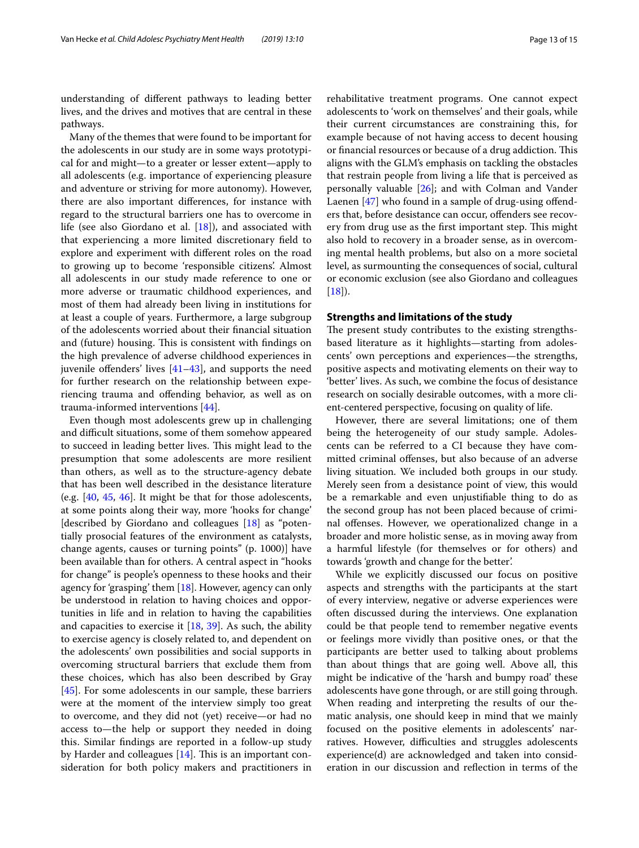understanding of diferent pathways to leading better lives, and the drives and motives that are central in these pathways.

Many of the themes that were found to be important for the adolescents in our study are in some ways prototypical for and might—to a greater or lesser extent—apply to all adolescents (e.g. importance of experiencing pleasure and adventure or striving for more autonomy). However, there are also important diferences, for instance with regard to the structural barriers one has to overcome in life (see also Giordano et al. [[18](#page-14-14)]), and associated with that experiencing a more limited discretionary feld to explore and experiment with diferent roles on the road to growing up to become 'responsible citizens'. Almost all adolescents in our study made reference to one or more adverse or traumatic childhood experiences, and most of them had already been living in institutions for at least a couple of years. Furthermore, a large subgroup of the adolescents worried about their fnancial situation and (future) housing. This is consistent with findings on the high prevalence of adverse childhood experiences in juvenile offenders' lives  $[41-43]$  $[41-43]$  $[41-43]$ , and supports the need for further research on the relationship between experiencing trauma and ofending behavior, as well as on trauma-informed interventions [[44\]](#page-14-39).

Even though most adolescents grew up in challenging and difficult situations, some of them somehow appeared to succeed in leading better lives. This might lead to the presumption that some adolescents are more resilient than others, as well as to the structure-agency debate that has been well described in the desistance literature (e.g. [\[40](#page-14-36), [45,](#page-14-40) [46](#page-14-41)]. It might be that for those adolescents, at some points along their way, more 'hooks for change' [described by Giordano and colleagues [[18\]](#page-14-14) as "potentially prosocial features of the environment as catalysts, change agents, causes or turning points" (p. 1000)] have been available than for others. A central aspect in "hooks for change" is people's openness to these hooks and their agency for 'grasping' them  $[18]$  $[18]$ . However, agency can only be understood in relation to having choices and opportunities in life and in relation to having the capabilities and capacities to exercise it [\[18](#page-14-14), [39\]](#page-14-35). As such, the ability to exercise agency is closely related to, and dependent on the adolescents' own possibilities and social supports in overcoming structural barriers that exclude them from these choices, which has also been described by Gray [[45\]](#page-14-40). For some adolescents in our sample, these barriers were at the moment of the interview simply too great to overcome, and they did not (yet) receive—or had no access to—the help or support they needed in doing this. Similar fndings are reported in a follow-up study by Harder and colleagues  $[14]$  $[14]$ . This is an important consideration for both policy makers and practitioners in rehabilitative treatment programs. One cannot expect adolescents to 'work on themselves' and their goals, while their current circumstances are constraining this, for example because of not having access to decent housing or financial resources or because of a drug addiction. This aligns with the GLM's emphasis on tackling the obstacles that restrain people from living a life that is perceived as personally valuable [[26\]](#page-14-22); and with Colman and Vander Laenen  $[47]$  $[47]$  who found in a sample of drug-using offenders that, before desistance can occur, ofenders see recovery from drug use as the first important step. This might also hold to recovery in a broader sense, as in overcoming mental health problems, but also on a more societal level, as surmounting the consequences of social, cultural or economic exclusion (see also Giordano and colleagues  $[18]$  $[18]$ ).

#### **Strengths and limitations of the study**

The present study contributes to the existing strengthsbased literature as it highlights—starting from adolescents' own perceptions and experiences—the strengths, positive aspects and motivating elements on their way to 'better' lives. As such, we combine the focus of desistance research on socially desirable outcomes, with a more client-centered perspective, focusing on quality of life.

However, there are several limitations; one of them being the heterogeneity of our study sample. Adolescents can be referred to a CI because they have committed criminal offenses, but also because of an adverse living situation. We included both groups in our study. Merely seen from a desistance point of view, this would be a remarkable and even unjustifable thing to do as the second group has not been placed because of criminal ofenses. However, we operationalized change in a broader and more holistic sense, as in moving away from a harmful lifestyle (for themselves or for others) and towards 'growth and change for the better'.

While we explicitly discussed our focus on positive aspects and strengths with the participants at the start of every interview, negative or adverse experiences were often discussed during the interviews. One explanation could be that people tend to remember negative events or feelings more vividly than positive ones, or that the participants are better used to talking about problems than about things that are going well. Above all, this might be indicative of the 'harsh and bumpy road' these adolescents have gone through, or are still going through. When reading and interpreting the results of our thematic analysis, one should keep in mind that we mainly focused on the positive elements in adolescents' narratives. However, difficulties and struggles adolescents experience(d) are acknowledged and taken into consideration in our discussion and refection in terms of the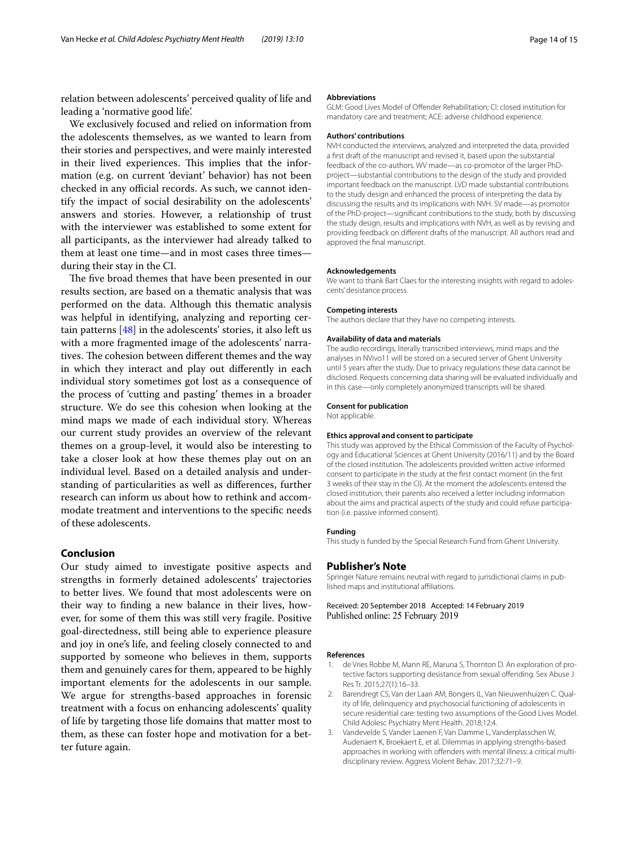relation between adolescents' perceived quality of life and leading a 'normative good life'.

We exclusively focused and relied on information from the adolescents themselves, as we wanted to learn from their stories and perspectives, and were mainly interested in their lived experiences. This implies that the information (e.g. on current 'deviant' behavior) has not been checked in any official records. As such, we cannot identify the impact of social desirability on the adolescents' answers and stories. However, a relationship of trust with the interviewer was established to some extent for all participants, as the interviewer had already talked to them at least one time—and in most cases three times during their stay in the CI.

The five broad themes that have been presented in our results section, are based on a thematic analysis that was performed on the data. Although this thematic analysis was helpful in identifying, analyzing and reporting certain patterns [\[48](#page-14-43)] in the adolescents' stories, it also left us with a more fragmented image of the adolescents' narratives. The cohesion between different themes and the way in which they interact and play out diferently in each individual story sometimes got lost as a consequence of the process of 'cutting and pasting' themes in a broader structure. We do see this cohesion when looking at the mind maps we made of each individual story. Whereas our current study provides an overview of the relevant themes on a group-level, it would also be interesting to take a closer look at how these themes play out on an individual level. Based on a detailed analysis and understanding of particularities as well as diferences, further research can inform us about how to rethink and accommodate treatment and interventions to the specifc needs of these adolescents.

### **Conclusion**

Our study aimed to investigate positive aspects and strengths in formerly detained adolescents' trajectories to better lives. We found that most adolescents were on their way to fnding a new balance in their lives, however, for some of them this was still very fragile. Positive goal-directedness, still being able to experience pleasure and joy in one's life, and feeling closely connected to and supported by someone who believes in them, supports them and genuinely cares for them, appeared to be highly important elements for the adolescents in our sample. We argue for strengths-based approaches in forensic treatment with a focus on enhancing adolescents' quality of life by targeting those life domains that matter most to them, as these can foster hope and motivation for a better future again.

#### **Abbreviations**

GLM: Good Lives Model of Ofender Rehabilitation; CI: closed institution for mandatory care and treatment; ACE: adverse childhood experience.

#### **Authors' contributions**

NVH conducted the interviews, analyzed and interpreted the data, provided a frst draft of the manuscript and revised it, based upon the substantial feedback of the co-authors. WV made—as co-promotor of the larger PhDproject—substantial contributions to the design of the study and provided important feedback on the manuscript. LVD made substantial contributions to the study design and enhanced the process of interpreting the data by discussing the results and its implications with NVH. SV made—as promotor of the PhD-project—signifcant contributions to the study, both by discussing the study design, results and implications with NVH, as well as by revising and providing feedback on diferent drafts of the manuscript. All authors read and approved the fnal manuscript.

#### **Acknowledgements**

We want to thank Bart Claes for the interesting insights with regard to adolescents' desistance process.

#### **Competing interests**

The authors declare that they have no competing interests.

#### **Availability of data and materials**

The audio recordings, literally transcribed interviews, mind maps and the analyses in NVivo11 will be stored on a secured server of Ghent University until 5 years after the study. Due to privacy regulations these data cannot be disclosed. Requests concerning data sharing will be evaluated individually and in this case—only completely anonymized transcripts will be shared.

#### **Consent for publication**

Not applicable.

#### **Ethics approval and consent to participate**

This study was approved by the Ethical Commission of the Faculty of Psychology and Educational Sciences at Ghent University (2016/11) and by the Board of the closed institution. The adolescents provided written active informed consent to participate in the study at the frst contact moment (in the frst 3 weeks of their stay in the CI). At the moment the adolescents entered the closed institution, their parents also received a letter including information about the aims and practical aspects of the study and could refuse participation (i.e. passive informed consent).

#### **Funding**

This study is funded by the Special Research Fund from Ghent University.

#### **Publisher's Note**

Springer Nature remains neutral with regard to jurisdictional claims in published maps and institutional afliations.

Received: 20 September 2018 Accepted: 14 February 2019 Published online: 25 February 2019

#### **References**

- <span id="page-13-0"></span>de Vries Robbe M, Mann RE, Maruna S, Thornton D. An exploration of protective factors supporting desistance from sexual offending. Sex Abuse J Res Tr. 2015;27(1):16–33.
- <span id="page-13-1"></span>2. Barendregt CS, Van der Laan AM, Bongers IL, Van Nieuwenhuizen C. Quality of life, delinquency and psychosocial functioning of adolescents in secure residential care: testing two assumptions of the Good Lives Model. Child Adolesc Psychiatry Ment Health. 2018;12:4.
- <span id="page-13-2"></span>3. Vandevelde S, Vander Laenen F, Van Damme L, Vanderplasschen W, Audenaert K, Broekaert E, et al. Dilemmas in applying strengths-based approaches in working with ofenders with mental illness: a critical multidisciplinary review. Aggress Violent Behav. 2017;32:71–9.